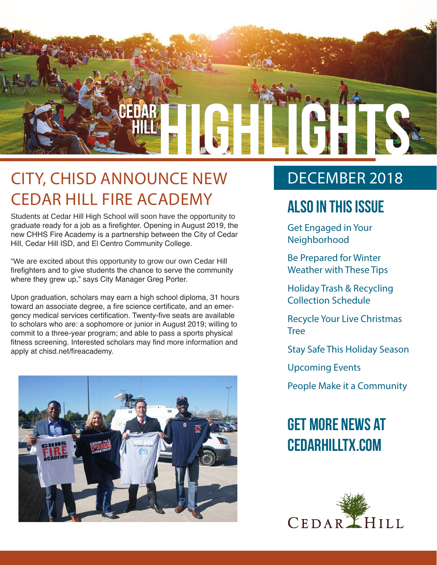

### CITY, CHISD ANNOUNCE NEW CEDAR HILL FIRE ACADEMY

Students at Cedar Hill High School will soon have the opportunity to graduate ready for a job as a firefighter. Opening in August 2019, the new CHHS Fire Academy is a partnership between the City of Cedar Hill, Cedar Hill ISD, and El Centro Community College.

"We are excited about this opportunity to grow our own Cedar Hill firefighters and to give students the chance to serve the community where they grew up," says City Manager Greg Porter.

Upon graduation, scholars may earn a high school diploma, 31 hours toward an associate degree, a fire science certificate, and an emergency medical services certification. Twenty-five seats are available to scholars who are: a sophomore or junior in August 2019; willing to commit to a three-year program; and able to pass a sports physical fitness screening. Interested scholars may find more information and apply at chisd.net/fireacademy.



### DECEMBER 2018

### **Also In this Issue**

Get Engaged in Your Neighborhood

Be Prepared for Winter Weather with These Tips

Holiday Trash & Recycling Collection Schedule

Recycle Your Live Christmas Tree

Stay Safe This Holiday Season

Upcoming Events

People Make it a Community

### **Get more news at cedarhilltx.com**

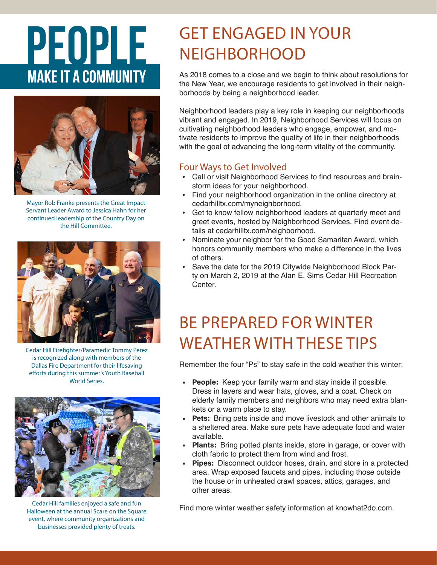# PEOPLE **MAKE IT A COMMUNITY**



Mayor Rob Franke presents the Great Impact Servant Leader Award to Jessica Hahn for her continued leadership of the Country Day on the Hill Committee.



Cedar Hill Firefighter/Paramedic Tommy Perez is recognized along with members of the Dallas Fire Department for their lifesaving efforts during this summer's Youth Baseball World Series.



Cedar Hill families enjoyed a safe and fun Halloween at the annual Scare on the Square event, where community organizations and businesses provided plenty of treats.

### GET ENGAGED IN YOUR **NEIGHBORHOOD**

As 2018 comes to a close and we begin to think about resolutions for the New Year, we encourage residents to get involved in their neighborhoods by being a neighborhood leader.

Neighborhood leaders play a key role in keeping our neighborhoods vibrant and engaged. In 2019, Neighborhood Services will focus on cultivating neighborhood leaders who engage, empower, and motivate residents to improve the quality of life in their neighborhoods with the goal of advancing the long-term vitality of the community.

#### Four Ways to Get Involved

- Call or visit Neighborhood Services to find resources and brainstorm ideas for your neighborhood.
- Find your neighborhood organization in the online directory at cedarhilltx.com/myneighborhood.
- Get to know fellow neighborhood leaders at quarterly meet and greet events, hosted by Neighborhood Services. Find event details at cedarhilltx.com/neighborhood.
- Nominate your neighbor for the Good Samaritan Award, which honors community members who make a difference in the lives of others.
- Save the date for the 2019 Citywide Neighborhood Block Party on March 2, 2019 at the Alan E. Sims Cedar Hill Recreation Center.

### BE PREPARED FOR WINTER WEATHER WITH THESE TIPS

Remember the four "Ps" to stay safe in the cold weather this winter:

- **• People:** Keep your family warm and stay inside if possible. Dress in layers and wear hats, gloves, and a coat. Check on elderly family members and neighbors who may need extra blankets or a warm place to stay.
- **• Pets:** Bring pets inside and move livestock and other animals to a sheltered area. Make sure pets have adequate food and water available.
- **• Plants:** Bring potted plants inside, store in garage, or cover with cloth fabric to protect them from wind and frost.
- **• Pipes:** Disconnect outdoor hoses, drain, and store in a protected area. Wrap exposed faucets and pipes, including those outside the house or in unheated crawl spaces, attics, garages, and other areas.

Find more winter weather safety information at knowhat2do.com.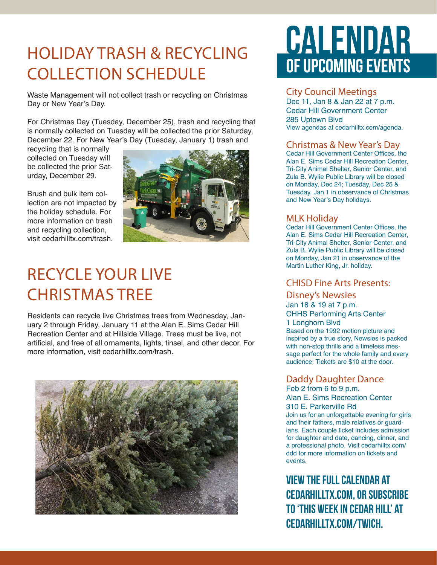### HOLIDAY TRASH & RECYCLING COLLECTION SCHEDULE

Waste Management will not collect trash or recycling on Christmas Day or New Year's Day.

For Christmas Day (Tuesday, December 25), trash and recycling that is normally collected on Tuesday will be collected the prior Saturday, December 22. For New Year's Day (Tuesday, January 1) trash and

recycling that is normally collected on Tuesday will be collected the prior Saturday, December 29.

Brush and bulk item collection are not impacted by the holiday schedule. For more information on trash and recycling collection, visit cedarhilltx.com/trash.



### RECYCLE YOUR LIVE CHRISTMAS TREE

Residents can recycle live Christmas trees from Wednesday, January 2 through Friday, January 11 at the Alan E. Sims Cedar Hill Recreation Center and at Hillside Village. Trees must be live, not artificial, and free of all ornaments, lights, tinsel, and other decor. For more information, visit cedarhilltx.com/trash.



## CALENDAR OF UPCOMING EVENTS

#### City Council Meetings

Dec 11, Jan 8 & Jan 22 at 7 p.m. Cedar Hill Government Center 285 Uptown Blvd View agendas at cedarhilltx.com/agenda.

#### Christmas & New Year's Day

Cedar Hill Government Center Offices, the Alan E. Sims Cedar Hill Recreation Center, Tri-City Animal Shelter, Senior Center, and Zula B. Wylie Public Library will be closed on Monday, Dec 24; Tuesday, Dec 25 & Tuesday, Jan 1 in observance of Christmas and New Year's Day holidays.

#### MLK Holiday

Cedar Hill Government Center Offices, the Alan E. Sims Cedar Hill Recreation Center, Tri-City Animal Shelter, Senior Center, and Zula B. Wylie Public Library will be closed on Monday, Jan 21 in observance of the Martin Luther King, Jr. holiday.

#### CHISD Fine Arts Presents:

Disney's Newsies Jan 18 & 19 at 7 p.m. CHHS Performing Arts Center 1 Longhorn Blvd Based on the 1992 motion picture and inspired by a true story, Newsies is packed with non-stop thrills and a timeless message perfect for the whole family and every audience. Tickets are \$10 at the door.

#### Daddy Daughter Dance

Feb 2 from 6 to 9 p.m. Alan E. Sims Recreation Center 310 E. Parkerville Rd Join us for an unforgettable evening for girls and their fathers, male relatives or guardians. Each couple ticket includes admission for daughter and date, dancing, dinner, and a professional photo. Visit cedarhilltx.com/ ddd for more information on tickets and events.

**View the full calendar at cedarhilltx.com, or subscribe to 'This Week in Cedar Hill' at cedarhilltx.com/twich.**